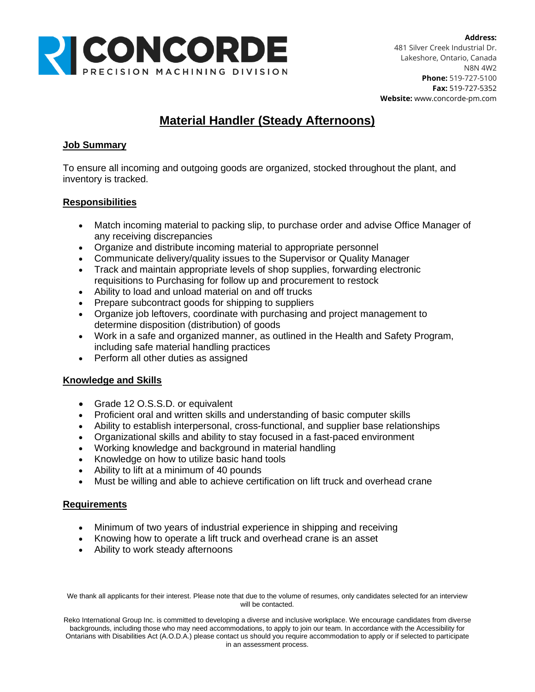

# **Material Handler (Steady Afternoons)**

## **Job Summary**

To ensure all incoming and outgoing goods are organized, stocked throughout the plant, and inventory is tracked.

### **Responsibilities**

- Match incoming material to packing slip, to purchase order and advise Office Manager of any receiving discrepancies
- Organize and distribute incoming material to appropriate personnel
- Communicate delivery/quality issues to the Supervisor or Quality Manager
- Track and maintain appropriate levels of shop supplies, forwarding electronic requisitions to Purchasing for follow up and procurement to restock
- Ability to load and unload material on and off trucks
- Prepare subcontract goods for shipping to suppliers
- Organize job leftovers, coordinate with purchasing and project management to determine disposition (distribution) of goods
- Work in a safe and organized manner, as outlined in the Health and Safety Program, including safe material handling practices
- Perform all other duties as assigned

### **Knowledge and Skills**

- Grade 12 O.S.S.D. or equivalent
- Proficient oral and written skills and understanding of basic computer skills
- Ability to establish interpersonal, cross-functional, and supplier base relationships
- Organizational skills and ability to stay focused in a fast-paced environment
- Working knowledge and background in material handling
- Knowledge on how to utilize basic hand tools
- Ability to lift at a minimum of 40 pounds
- Must be willing and able to achieve certification on lift truck and overhead crane

### **Requirements**

- Minimum of two years of industrial experience in shipping and receiving
- Knowing how to operate a lift truck and overhead crane is an asset
- Ability to work steady afternoons

We thank all applicants for their interest. Please note that due to the volume of resumes, only candidates selected for an interview will be contacted.

Reko International Group Inc. is committed to developing a diverse and inclusive workplace. We encourage candidates from diverse backgrounds, including those who may need accommodations, to apply to join our team. In accordance with the Accessibility for Ontarians with Disabilities Act (A.O.D.A.) please contact us should you require accommodation to apply or if selected to participate in an assessment process.